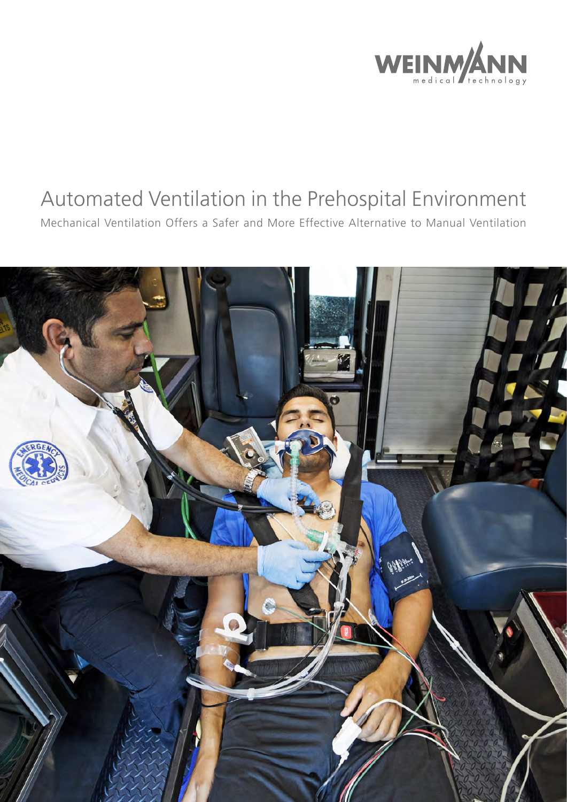

# Automated Ventilation in the Prehospital Environment

Mechanical Ventilation Offers a Safer and More Effective Alternative to Manual Ventilation

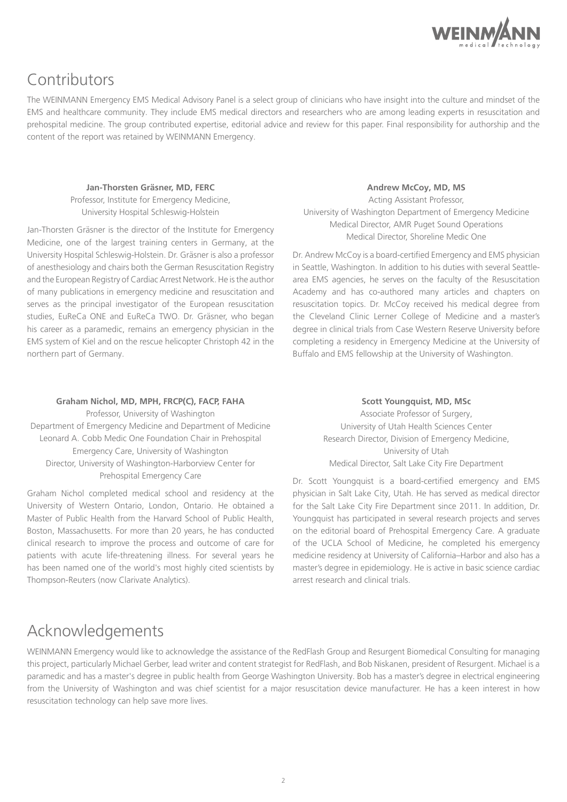

# Contributors

The WEINMANN Emergency EMS Medical Advisory Panel is a select group of clinicians who have insight into the culture and mindset of the EMS and healthcare community. They include EMS medical directors and researchers who are among leading experts in resuscitation and prehospital medicine. The group contributed expertise, editorial advice and review for this paper. Final responsibility for authorship and the content of the report was retained by WEINMANN Emergency.

#### **Jan-Thorsten Gräsner, MD, FERC**

Professor, Institute for Emergency Medicine, University Hospital Schleswig-Holstein

Jan-Thorsten Gräsner is the director of the Institute for Emergency Medicine, one of the largest training centers in Germany, at the University Hospital Schleswig-Holstein. Dr. Gräsner is also a professor of anesthesiology and chairs both the German Resuscitation Registry and the European Registry of Cardiac Arrest Network. He is the author of many publications in emergency medicine and resuscitation and serves as the principal investigator of the European resuscitation studies, EuReCa ONE and EuReCa TWO. Dr. Gräsner, who began his career as a paramedic, remains an emergency physician in the EMS system of Kiel and on the rescue helicopter Christoph 42 in the northern part of Germany.

### **Andrew McCoy, MD, MS**

Acting Assistant Professor, University of Washington Department of Emergency Medicine Medical Director, AMR Puget Sound Operations Medical Director, Shoreline Medic One

Dr. Andrew McCoy is a board-certified Emergency and EMS physician in Seattle, Washington. In addition to his duties with several Seattlearea EMS agencies, he serves on the faculty of the Resuscitation Academy and has co-authored many articles and chapters on resuscitation topics. Dr. McCoy received his medical degree from the Cleveland Clinic Lerner College of Medicine and a master's degree in clinical trials from Case Western Reserve University before completing a residency in Emergency Medicine at the University of Buffalo and EMS fellowship at the University of Washington.

#### **Graham Nichol, MD, MPH, FRCP(C), FACP, FAHA**

Professor, University of Washington Department of Emergency Medicine and Department of Medicine Leonard A. Cobb Medic One Foundation Chair in Prehospital Emergency Care, University of Washington Director, University of Washington-Harborview Center for Prehospital Emergency Care

Graham Nichol completed medical school and residency at the University of Western Ontario, London, Ontario. He obtained a Master of Public Health from the Harvard School of Public Health, Boston, Massachusetts. For more than 20 years, he has conducted clinical research to improve the process and outcome of care for patients with acute life-threatening illness. For several years he has been named one of the world's most highly cited scientists by Thompson-Reuters (now Clarivate Analytics).

**Scott Youngquist, MD, MSc**

Associate Professor of Surgery, University of Utah Health Sciences Center Research Director, Division of Emergency Medicine, University of Utah Medical Director, Salt Lake City Fire Department

Dr. Scott Youngquist is a board-certified emergency and EMS physician in Salt Lake City, Utah. He has served as medical director for the Salt Lake City Fire Department since 2011. In addition, Dr. Youngquist has participated in several research projects and serves on the editorial board of Prehospital Emergency Care. A graduate of the UCLA School of Medicine, he completed his emergency medicine residency at University of California–Harbor and also has a master's degree in epidemiology. He is active in basic science cardiac arrest research and clinical trials.

# Acknowledgements

WEINMANN Emergency would like to acknowledge the assistance of the RedFlash Group and Resurgent Biomedical Consulting for managing this project, particularly Michael Gerber, lead writer and content strategist for RedFlash, and Bob Niskanen, president of Resurgent. Michael is a paramedic and has a master's degree in public health from George Washington University. Bob has a master's degree in electrical engineering from the University of Washington and was chief scientist for a major resuscitation device manufacturer. He has a keen interest in how resuscitation technology can help save more lives.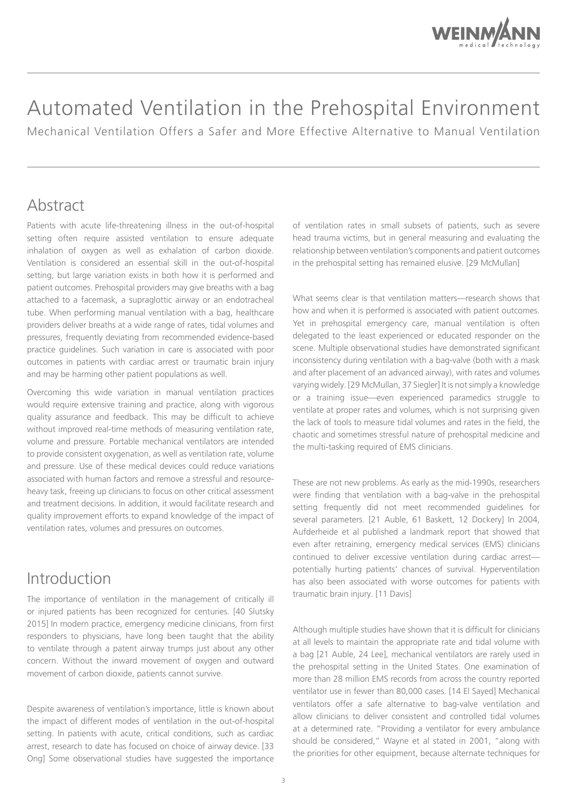

# Automated Ventilation in the Prehospital Environment

Mechanical Ventilation Offers a Safer and More Effective Alternative to Manual Ventilation

# Abstract

Patients with acute life-threatening illness in the out-of-hospital setting often require assisted ventilation to ensure adequate inhalation of oxygen as well as exhalation of carbon dioxide. Ventilation is considered an essential skill in the out-of-hospital setting, but large variation exists in both how it is performed and patient outcomes. Prehospital providers may give breaths with a bag attached to a facemask, a supraglottic airway or an endotracheal tube. When performing manual ventilation with a bag, healthcare providers deliver breaths at a wide range of rates, tidal volumes and pressures, frequently deviating from recommended evidence-based practice guidelines. Such variation in care is associated with poor outcomes in patients with cardiac arrest or traumatic brain injury and may be harming other patient populations as well.

Overcoming this wide variation in manual ventilation practices would require extensive training and practice, along with vigorous quality assurance and feedback. This may be difficult to achieve without improved real-time methods of measuring ventilation rate, volume and pressure. Portable mechanical ventilators are intended to provide consistent oxygenation, as well as ventilation rate, volume and pressure. Use of these medical devices could reduce variations associated with human factors and remove a stressful and resourceheavy task, freeing up clinicians to focus on other critical assessment and treatment decisions. In addition, it would facilitate research and quality improvement efforts to expand knowledge of the impact of ventilation rates, volumes and pressures on outcomes.

### Introduction

The importance of ventilation in the management of critically ill or injured patients has been recognized for centuries. [40 Slutsky 2015] In modern practice, emergency medicine clinicians, from first responders to physicians, have long been taught that the ability to ventilate through a patent airway trumps just about any other concern. Without the inward movement of oxygen and outward movement of carbon dioxide, patients cannot survive.

Despite awareness of ventilation's importance, little is known about the impact of different modes of ventilation in the out-of-hospital setting. In patients with acute, critical conditions, such as cardiac arrest, research to date has focused on choice of airway device. [33 Ong] Some observational studies have suggested the importance

of ventilation rates in small subsets of patients, such as severe head trauma victims, but in general measuring and evaluating the relationship between ventilation's components and patient outcomes in the prehospital setting has remained elusive. [29 McMullan]

What seems clear is that ventilation matters—research shows that how and when it is performed is associated with patient outcomes. Yet in prehospital emergency care, manual ventilation is often delegated to the least experienced or educated responder on the scene. Multiple observational studies have demonstrated significant inconsistency during ventilation with a bag-valve (both with a mask and after placement of an advanced airway), with rates and volumes varying widely. [29 McMullan, 37 Siegler] It is not simply a knowledge or a training issue—even experienced paramedics struggle to ventilate at proper rates and volumes, which is not surprising given the lack of tools to measure tidal volumes and rates in the field, the chaotic and sometimes stressful nature of prehospital medicine and the multi-tasking required of EMS clinicians.

These are not new problems. As early as the mid-1990s, researchers were finding that ventilation with a bag-valve in the prehospital setting frequently did not meet recommended guidelines for several parameters. [21 Auble, 61 Baskett, 12 Dockery] In 2004, Aufderheide et al published a landmark report that showed that even after retraining, emergency medical services (EMS) clinicians continued to deliver excessive ventilation during cardiac arrest potentially hurting patients' chances of survival. Hyperventilation has also been associated with worse outcomes for patients with traumatic brain injury. [11 Davis]

Although multiple studies have shown that it is difficult for clinicians at all levels to maintain the appropriate rate and tidal volume with a bag [21 Auble, 24 Lee], mechanical ventilators are rarely used in the prehospital setting in the United States. One examination of more than 28 million EMS records from across the country reported ventilator use in fewer than 80,000 cases. [14 El Sayed] Mechanical ventilators offer a safe alternative to bag-valve ventilation and allow clinicians to deliver consistent and controlled tidal volumes at a determined rate. "Providing a ventilator for every ambulance should be considered," Wayne et al stated in 2001, "along with the priorities for other equipment, because alternate techniques for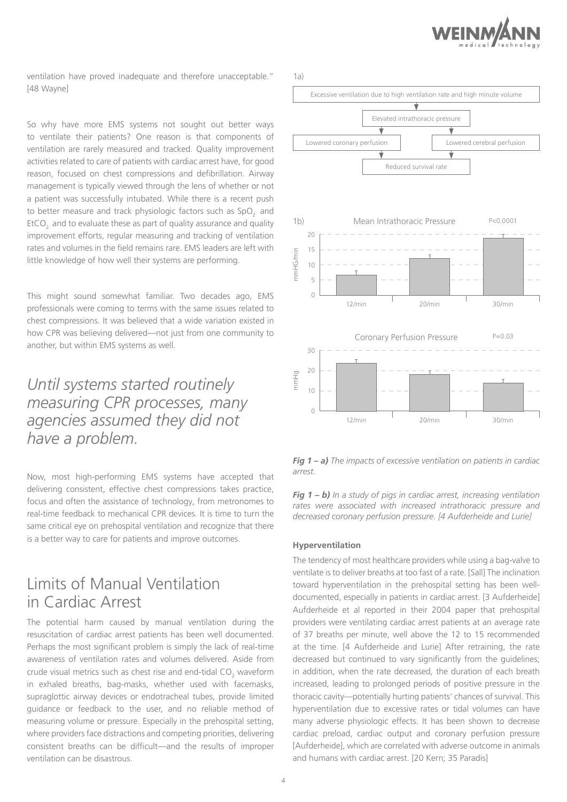

ventilation have proved inadequate and therefore unacceptable." [48 Wayne]

So why have more EMS systems not sought out better ways to ventilate their patients? One reason is that components of ventilation are rarely measured and tracked. Quality improvement activities related to care of patients with cardiac arrest have, for good reason, focused on chest compressions and defibrillation. Airway management is typically viewed through the lens of whether or not a patient was successfully intubated. While there is a recent push to better measure and track physiologic factors such as SpO<sub>2</sub> and EtCO<sub>2</sub> and to evaluate these as part of quality assurance and quality improvement efforts, regular measuring and tracking of ventilation rates and volumes in the field remains rare. EMS leaders are left with little knowledge of how well their systems are performing.

This might sound somewhat familiar. Two decades ago, EMS professionals were coming to terms with the same issues related to chest compressions. It was believed that a wide variation existed in how CPR was believing delivered—not just from one community to another, but within EMS systems as well.

# *Until systems started routinely measuring CPR processes, many agencies assumed they did not have a problem.*

Now, most high-performing EMS systems have accepted that delivering consistent, effective chest compressions takes practice, focus and often the assistance of technology, from metronomes to real-time feedback to mechanical CPR devices. It is time to turn the same critical eye on prehospital ventilation and recognize that there is a better way to care for patients and improve outcomes.

### Limits of Manual Ventilation in Cardiac Arrest

The potential harm caused by manual ventilation during the resuscitation of cardiac arrest patients has been well documented. Perhaps the most significant problem is simply the lack of real-time awareness of ventilation rates and volumes delivered. Aside from crude visual metrics such as chest rise and end-tidal CO<sub>2</sub> waveform in exhaled breaths, bag-masks, whether used with facemasks, supraglottic airway devices or endotracheal tubes, provide limited guidance or feedback to the user, and no reliable method of measuring volume or pressure. Especially in the prehospital setting, where providers face distractions and competing priorities, delivering consistent breaths can be difficult—and the results of improper ventilation can be disastrous.



*Fig 1 – a) The impacts of excessive ventilation on patients in cardiac arrest.*

*Fig 1 – b) In a study of pigs in cardiac arrest, increasing ventilation rates were associated with increased intrathoracic pressure and decreased coronary perfusion pressure. [4 Aufderheide and Lurie]*

#### **Hyperventilation**

The tendency of most healthcare providers while using a bag-valve to ventilate is to deliver breaths at too fast of a rate. [Sall] The inclination toward hyperventilation in the prehospital setting has been welldocumented, especially in patients in cardiac arrest. [3 Aufderheide] Aufderheide et al reported in their 2004 paper that prehospital providers were ventilating cardiac arrest patients at an average rate of 37 breaths per minute, well above the 12 to 15 recommended at the time. [4 Aufderheide and Lurie] After retraining, the rate decreased but continued to vary significantly from the guidelines; in addition, when the rate decreased, the duration of each breath increased, leading to prolonged periods of positive pressure in the thoracic cavity—potentially hurting patients' chances of survival. This hyperventilation due to excessive rates or tidal volumes can have many adverse physiologic effects. It has been shown to decrease cardiac preload, cardiac output and coronary perfusion pressure [Aufderheide], which are correlated with adverse outcome in animals and humans with cardiac arrest. [20 Kern; 35 Paradis]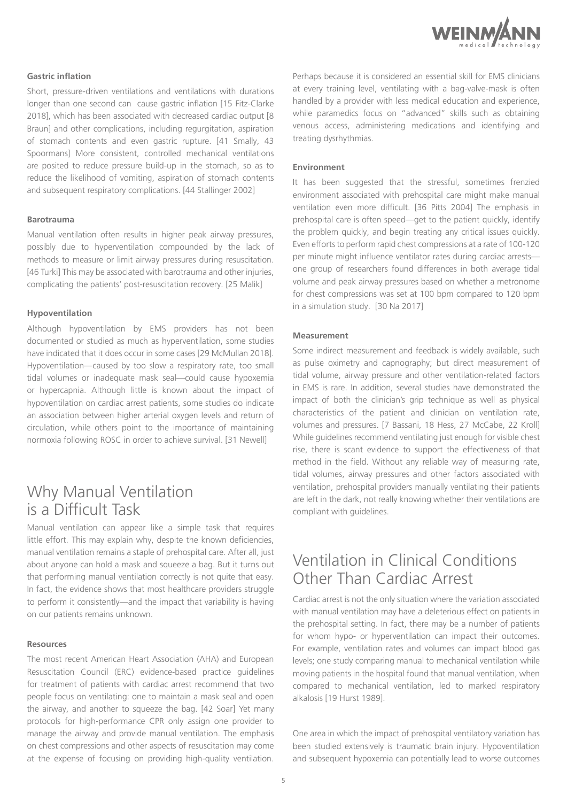

### **Gastric inflation**

Short, pressure-driven ventilations and ventilations with durations longer than one second can cause gastric inflation [15 Fitz-Clarke 2018], which has been associated with decreased cardiac output [8 Braun] and other complications, including regurgitation, aspiration of stomach contents and even gastric rupture. [41 Smally, 43 Spoormans] More consistent, controlled mechanical ventilations are posited to reduce pressure build-up in the stomach, so as to reduce the likelihood of vomiting, aspiration of stomach contents and subsequent respiratory complications. [44 Stallinger 2002]

#### **Barotrauma**

Manual ventilation often results in higher peak airway pressures, possibly due to hyperventilation compounded by the lack of methods to measure or limit airway pressures during resuscitation. [46 Turki] This may be associated with barotrauma and other injuries, complicating the patients' post-resuscitation recovery. [25 Malik]

#### **Hypoventilation**

Although hypoventilation by EMS providers has not been documented or studied as much as hyperventilation, some studies have indicated that it does occur in some cases [29 McMullan 2018]. Hypoventilation—caused by too slow a respiratory rate, too small tidal volumes or inadequate mask seal—could cause hypoxemia or hypercapnia. Although little is known about the impact of hypoventilation on cardiac arrest patients, some studies do indicate an association between higher arterial oxygen levels and return of circulation, while others point to the importance of maintaining normoxia following ROSC in order to achieve survival. [31 Newell]

# Why Manual Ventilation is a Difficult Task

Manual ventilation can appear like a simple task that requires little effort. This may explain why, despite the known deficiencies, manual ventilation remains a staple of prehospital care. After all, just about anyone can hold a mask and squeeze a bag. But it turns out that performing manual ventilation correctly is not quite that easy. In fact, the evidence shows that most healthcare providers struggle to perform it consistently—and the impact that variability is having on our patients remains unknown.

#### **Resources**

The most recent American Heart Association (AHA) and European Resuscitation Council (ERC) evidence-based practice guidelines for treatment of patients with cardiac arrest recommend that two people focus on ventilating: one to maintain a mask seal and open the airway, and another to squeeze the bag. [42 Soar] Yet many protocols for high-performance CPR only assign one provider to manage the airway and provide manual ventilation. The emphasis on chest compressions and other aspects of resuscitation may come at the expense of focusing on providing high-quality ventilation.

Perhaps because it is considered an essential skill for EMS clinicians at every training level, ventilating with a bag-valve-mask is often handled by a provider with less medical education and experience, while paramedics focus on "advanced" skills such as obtaining venous access, administering medications and identifying and treating dysrhythmias.

#### **Environment**

It has been suggested that the stressful, sometimes frenzied environment associated with prehospital care might make manual ventilation even more difficult. [36 Pitts 2004] The emphasis in prehospital care is often speed—get to the patient quickly, identify the problem quickly, and begin treating any critical issues quickly. Even efforts to perform rapid chest compressions at a rate of 100-120 per minute might influence ventilator rates during cardiac arrests one group of researchers found differences in both average tidal volume and peak airway pressures based on whether a metronome for chest compressions was set at 100 bpm compared to 120 bpm in a simulation study. [30 Na 2017]

### **Measurement**

Some indirect measurement and feedback is widely available, such as pulse oximetry and capnography; but direct measurement of tidal volume, airway pressure and other ventilation-related factors in EMS is rare. In addition, several studies have demonstrated the impact of both the clinician's grip technique as well as physical characteristics of the patient and clinician on ventilation rate, volumes and pressures. [7 Bassani, 18 Hess, 27 McCabe, 22 Kroll] While guidelines recommend ventilating just enough for visible chest rise, there is scant evidence to support the effectiveness of that method in the field. Without any reliable way of measuring rate, tidal volumes, airway pressures and other factors associated with ventilation, prehospital providers manually ventilating their patients are left in the dark, not really knowing whether their ventilations are compliant with guidelines.

## Ventilation in Clinical Conditions Other Than Cardiac Arrest

Cardiac arrest is not the only situation where the variation associated with manual ventilation may have a deleterious effect on patients in the prehospital setting. In fact, there may be a number of patients for whom hypo- or hyperventilation can impact their outcomes. For example, ventilation rates and volumes can impact blood gas levels; one study comparing manual to mechanical ventilation while moving patients in the hospital found that manual ventilation, when compared to mechanical ventilation, led to marked respiratory alkalosis [19 Hurst 1989].

One area in which the impact of prehospital ventilatory variation has been studied extensively is traumatic brain injury. Hypoventilation and subsequent hypoxemia can potentially lead to worse outcomes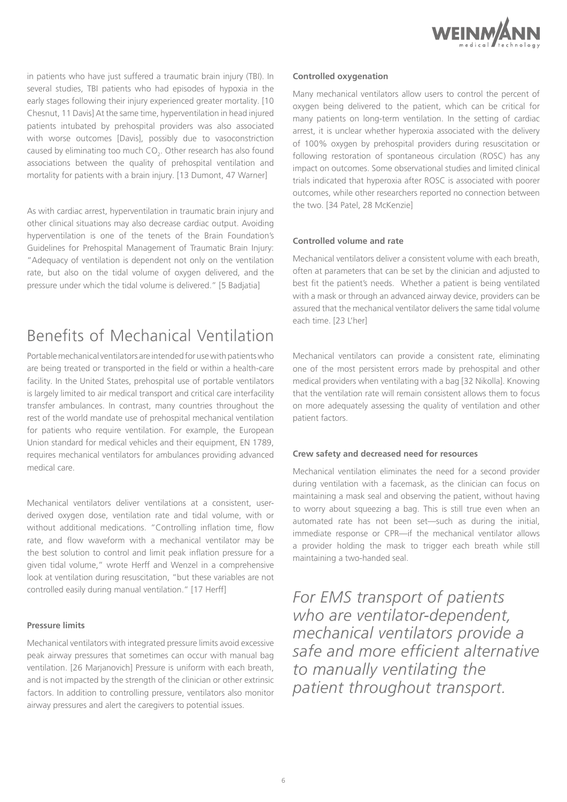

in patients who have just suffered a traumatic brain injury (TBI). In several studies, TBI patients who had episodes of hypoxia in the early stages following their injury experienced greater mortality. [10 Chesnut, 11 Davis] At the same time, hyperventilation in head injured patients intubated by prehospital providers was also associated with worse outcomes [Davis], possibly due to vasoconstriction caused by eliminating too much  $CO_{2}$ . Other research has also found associations between the quality of prehospital ventilation and mortality for patients with a brain injury. [13 Dumont, 47 Warner]

As with cardiac arrest, hyperventilation in traumatic brain injury and other clinical situations may also decrease cardiac output. Avoiding hyperventilation is one of the tenets of the Brain Foundation's Guidelines for Prehospital Management of Traumatic Brain Injury: "Adequacy of ventilation is dependent not only on the ventilation rate, but also on the tidal volume of oxygen delivered, and the pressure under which the tidal volume is delivered." [5 Badjatia]

# Benefits of Mechanical Ventilation

Portable mechanical ventilators are intended for use with patients who are being treated or transported in the field or within a health-care facility. In the United States, prehospital use of portable ventilators is largely limited to air medical transport and critical care interfacility transfer ambulances. In contrast, many countries throughout the rest of the world mandate use of prehospital mechanical ventilation for patients who require ventilation. For example, the European Union standard for medical vehicles and their equipment, EN 1789, requires mechanical ventilators for ambulances providing advanced medical care.

Mechanical ventilators deliver ventilations at a consistent, userderived oxygen dose, ventilation rate and tidal volume, with or without additional medications. "Controlling inflation time, flow rate, and flow waveform with a mechanical ventilator may be the best solution to control and limit peak inflation pressure for a given tidal volume," wrote Herff and Wenzel in a comprehensive look at ventilation during resuscitation, "but these variables are not controlled easily during manual ventilation." [17 Herff]

### **Pressure limits**

Mechanical ventilators with integrated pressure limits avoid excessive peak airway pressures that sometimes can occur with manual bag ventilation. [26 Marjanovich] Pressure is uniform with each breath, and is not impacted by the strength of the clinician or other extrinsic factors. In addition to controlling pressure, ventilators also monitor airway pressures and alert the caregivers to potential issues.

#### **Controlled oxygenation**

Many mechanical ventilators allow users to control the percent of oxygen being delivered to the patient, which can be critical for many patients on long-term ventilation. In the setting of cardiac arrest, it is unclear whether hyperoxia associated with the delivery of 100% oxygen by prehospital providers during resuscitation or following restoration of spontaneous circulation (ROSC) has any impact on outcomes. Some observational studies and limited clinical trials indicated that hyperoxia after ROSC is associated with poorer outcomes, while other researchers reported no connection between the two. [34 Patel, 28 McKenzie]

### **Controlled volume and rate**

Mechanical ventilators deliver a consistent volume with each breath, often at parameters that can be set by the clinician and adjusted to best fit the patient's needs. Whether a patient is being ventilated with a mask or through an advanced airway device, providers can be assured that the mechanical ventilator delivers the same tidal volume each time. [23 L'her]

Mechanical ventilators can provide a consistent rate, eliminating one of the most persistent errors made by prehospital and other medical providers when ventilating with a bag [32 Nikolla]. Knowing that the ventilation rate will remain consistent allows them to focus on more adequately assessing the quality of ventilation and other patient factors.

### **Crew safety and decreased need for resources**

Mechanical ventilation eliminates the need for a second provider during ventilation with a facemask, as the clinician can focus on maintaining a mask seal and observing the patient, without having to worry about squeezing a bag. This is still true even when an automated rate has not been set—such as during the initial, immediate response or CPR—if the mechanical ventilator allows a provider holding the mask to trigger each breath while still maintaining a two-handed seal.

*For EMS transport of patients who are ventilator-dependent, mechanical ventilators provide a safe and more efficient alternative to manually ventilating the patient throughout transport.*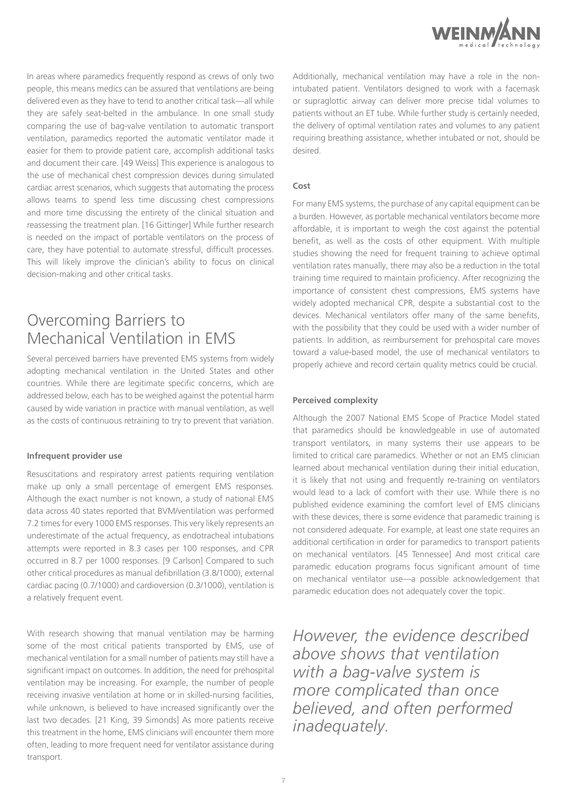

In areas where paramedics frequently respond as crews of only two people, this means medics can be assured that ventilations are being delivered even as they have to tend to another critical task—all while they are safely seat-belted in the ambulance. In one small study comparing the use of bag-valve ventilation to automatic transport ventilation, paramedics reported the automatic ventilator made it easier for them to provide patient care, accomplish additional tasks and document their care. [49 Weiss] This experience is analogous to the use of mechanical chest compression devices during simulated cardiac arrest scenarios, which suggests that automating the process allows teams to spend less time discussing chest compressions and more time discussing the entirety of the clinical situation and reassessing the treatment plan. [16 Gittinger] While further research is needed on the impact of portable ventilators on the process of care, they have potential to automate stressful, difficult processes. This will likely improve the clinician's ability to focus on clinical decision-making and other critical tasks.

# Overcoming Barriers to Mechanical Ventilation in EMS

Several perceived barriers have prevented EMS systems from widely adopting mechanical ventilation in the United States and other countries. While there are legitimate specific concerns, which are addressed below, each has to be weighed against the potential harm caused by wide variation in practice with manual ventilation, as well as the costs of continuous retraining to try to prevent that variation.

#### **Infrequent provider use**

Resuscitations and respiratory arrest patients requiring ventilation make up only a small percentage of emergent EMS responses. Although the exact number is not known, a study of national EMS data across 40 states reported that BVM/ventilation was performed 7.2 times for every 1000 EMS responses. This very likely represents an underestimate of the actual frequency, as endotracheal intubations attempts were reported in 8.3 cases per 100 responses, and CPR occurred in 8.7 per 1000 responses. [9 Carlson] Compared to such other critical procedures as manual defibrillation (3.8/1000), external cardiac pacing (0.7/1000) and cardioversion (0.3/1000), ventilation is a relatively frequent event.

With research showing that manual ventilation may be harming some of the most critical patients transported by EMS, use of mechanical ventilation for a small number of patients may still have a significant impact on outcomes. In addition, the need for prehospital ventilation may be increasing. For example, the number of people receiving invasive ventilation at home or in skilled-nursing facilities, while unknown, is believed to have increased significantly over the last two decades. [21 King, 39 Simonds] As more patients receive this treatment in the home, EMS clinicians will encounter them more often, leading to more frequent need for ventilator assistance during transport.

Additionally, mechanical ventilation may have a role in the nonintubated patient. Ventilators designed to work with a facemask or supraglottic airway can deliver more precise tidal volumes to patients without an ET tube. While further study is certainly needed, the delivery of optimal ventilation rates and volumes to any patient requiring breathing assistance, whether intubated or not, should be desired.

#### **Cost**

For many EMS systems, the purchase of any capital equipment can be a burden. However, as portable mechanical ventilators become more affordable, it is important to weigh the cost against the potential benefit, as well as the costs of other equipment. With multiple studies showing the need for frequent training to achieve optimal ventilation rates manually, there may also be a reduction in the total training time required to maintain proficiency. After recognizing the importance of consistent chest compressions, EMS systems have widely adopted mechanical CPR, despite a substantial cost to the devices. Mechanical ventilators offer many of the same benefits, with the possibility that they could be used with a wider number of patients. In addition, as reimbursement for prehospital care moves toward a value-based model, the use of mechanical ventilators to properly achieve and record certain quality metrics could be crucial.

### **Perceived complexity**

Although the 2007 National EMS Scope of Practice Model stated that paramedics should be knowledgeable in use of automated transport ventilators, in many systems their use appears to be limited to critical care paramedics. Whether or not an EMS clinician learned about mechanical ventilation during their initial education, it is likely that not using and frequently re-training on ventilators would lead to a lack of comfort with their use. While there is no published evidence examining the comfort level of EMS clinicians with these devices, there is some evidence that paramedic training is not considered adequate. For example, at least one state requires an additional certification in order for paramedics to transport patients on mechanical ventilators. [45 Tennessee] And most critical care paramedic education programs focus significant amount of time on mechanical ventilator use—a possible acknowledgement that paramedic education does not adequately cover the topic.

*However, the evidence described above shows that ventilation with a bag-valve system is more complicated than once believed, and often performed inadequately.*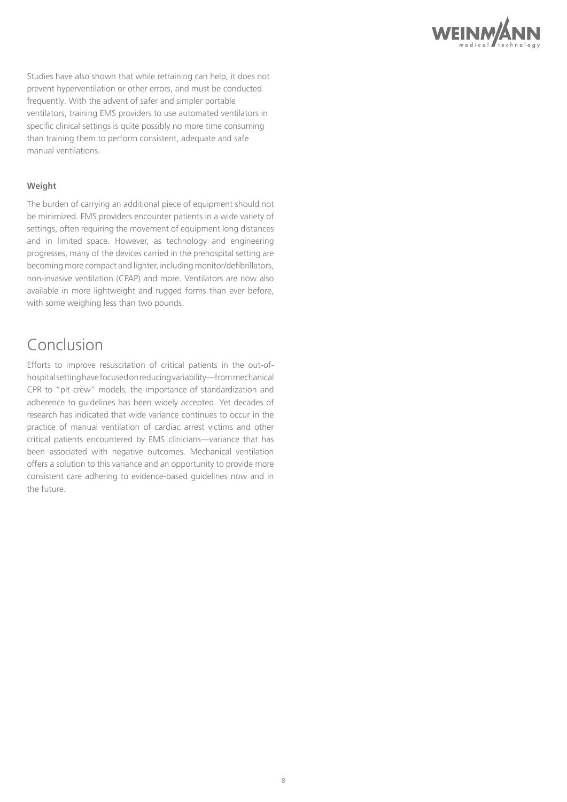

Studies have also shown that while retraining can help, it does not prevent hyperventilation or other errors, and must be conducted frequently. With the advent of safer and simpler portable ventilators, training EMS providers to use automated ventilators in specific clinical settings is quite possibly no more time consuming than training them to perform consistent, adequate and safe manual ventilations.

### **Weight**

The burden of carrying an additional piece of equipment should not be minimized. EMS providers encounter patients in a wide variety of settings, often requiring the movement of equipment long distances and in limited space. However, as technology and engineering progresses, many of the devices carried in the prehospital setting are becoming more compact and lighter, including monitor/defibrillators, non-invasive ventilation (CPAP) and more. Ventilators are now also available in more lightweight and rugged forms than ever before, with some weighing less than two pounds.

# Conclusion

Efforts to improve resuscitation of critical patients in the out-ofhospital setting have focused on reducing variability—from mechanical CPR to "pit crew" models, the importance of standardization and adherence to guidelines has been widely accepted. Yet decades of research has indicated that wide variance continues to occur in the practice of manual ventilation of cardiac arrest victims and other critical patients encountered by EMS clinicians—variance that has been associated with negative outcomes. Mechanical ventilation offers a solution to this variance and an opportunity to provide more consistent care adhering to evidence-based guidelines now and in the future.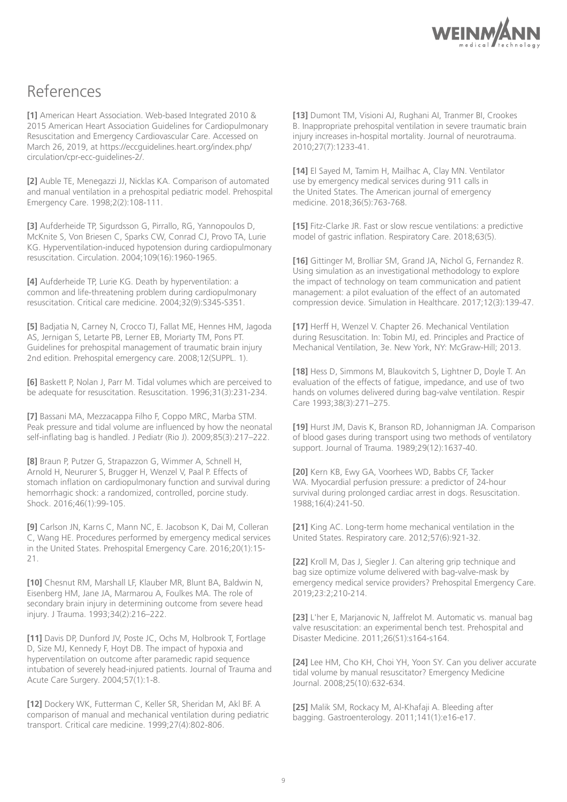

# References

**[1]** American Heart Association. Web-based Integrated 2010 & 2015 American Heart Association Guidelines for Cardiopulmonary Resuscitation and Emergency Cardiovascular Care. Accessed on March 26, 2019, at https://eccguidelines.heart.org/index.php/ circulation/cpr-ecc-guidelines-2/.

**[2]** Auble TE, Menegazzi JJ, Nicklas KA. Comparison of automated and manual ventilation in a prehospital pediatric model. Prehospital Emergency Care. 1998;2(2):108-111.

**[3]** Aufderheide TP, Sigurdsson G, Pirrallo, RG, Yannopoulos D, McKnite S, Von Briesen C, Sparks CW, Conrad CJ, Provo TA, Lurie KG. Hyperventilation-induced hypotension during cardiopulmonary resuscitation. Circulation. 2004;109(16):1960-1965.

**[4]** Aufderheide TP, Lurie KG. Death by hyperventilation: a common and life-threatening problem during cardiopulmonary resuscitation. Critical care medicine. 2004;32(9):S345-S351.

**[5]** Badjatia N, Carney N, Crocco TJ, Fallat ME, Hennes HM, Jagoda AS, Jernigan S, Letarte PB, Lerner EB, Moriarty TM, Pons PT. Guidelines for prehospital management of traumatic brain injury 2nd edition. Prehospital emergency care. 2008;12(SUPPL. 1).

**[6]** Baskett P, Nolan J, Parr M. Tidal volumes which are perceived to be adequate for resuscitation. Resuscitation. 1996;31(3):231-234.

**[7]** Bassani MA, Mezzacappa Filho F, Coppo MRC, Marba STM. Peak pressure and tidal volume are influenced by how the neonatal self-inflating bag is handled. J Pediatr (Rio J). 2009;85(3):217–222.

**[8]** Braun P, Putzer G, Strapazzon G, Wimmer A, Schnell H, Arnold H, Neururer S, Brugger H, Wenzel V, Paal P. Effects of stomach inflation on cardiopulmonary function and survival during hemorrhagic shock: a randomized, controlled, porcine study. Shock. 2016;46(1):99-105.

**[9]** Carlson JN, Karns C, Mann NC, E. Jacobson K, Dai M, Colleran C, Wang HE. Procedures performed by emergency medical services in the United States. Prehospital Emergency Care. 2016;20(1):15- 21.

**[10]** Chesnut RM, Marshall LF, Klauber MR, Blunt BA, Baldwin N, Eisenberg HM, Jane JA, Marmarou A, Foulkes MA. The role of secondary brain injury in determining outcome from severe head injury. J Trauma. 1993;34(2):216–222.

**[11]** Davis DP, Dunford JV, Poste JC, Ochs M, Holbrook T, Fortlage D, Size MJ, Kennedy F, Hoyt DB. The impact of hypoxia and hyperventilation on outcome after paramedic rapid sequence intubation of severely head-injured patients. Journal of Trauma and Acute Care Surgery. 2004;57(1):1-8.

**[12]** Dockery WK, Futterman C, Keller SR, Sheridan M, Akl BF. A comparison of manual and mechanical ventilation during pediatric transport. Critical care medicine. 1999;27(4):802-806.

**[13]** Dumont TM, Visioni AJ, Rughani AI, Tranmer BI, Crookes B. Inappropriate prehospital ventilation in severe traumatic brain injury increases in-hospital mortality. Journal of neurotrauma. 2010;27(7):1233-41.

**[14]** El Sayed M, Tamim H, Mailhac A, Clay MN. Ventilator use by emergency medical services during 911 calls in the United States. The American journal of emergency medicine. 2018;36(5):763-768.

**[15]** Fitz-Clarke JR. Fast or slow rescue ventilations: a predictive model of gastric inflation. Respiratory Care. 2018;63(5).

**[16]** Gittinger M, Brolliar SM, Grand JA, Nichol G, Fernandez R. Using simulation as an investigational methodology to explore the impact of technology on team communication and patient management: a pilot evaluation of the effect of an automated compression device. Simulation in Healthcare. 2017;12(3):139-47.

**[17]** Herff H, Wenzel V. Chapter 26. Mechanical Ventilation during Resuscitation. In: Tobin MJ, ed. Principles and Practice of Mechanical Ventilation, 3e. New York, NY: McGraw-Hill; 2013.

**[18]** Hess D, Simmons M, Blaukovitch S, Lightner D, Doyle T. An evaluation of the effects of fatigue, impedance, and use of two hands on volumes delivered during bag-valve ventilation. Respir Care 1993;38(3):271–275.

**[19]** Hurst JM, Davis K, Branson RD, Johannigman JA. Comparison of blood gases during transport using two methods of ventilatory support. Journal of Trauma. 1989;29(12):1637-40.

**[20]** Kern KB, Ewy GA, Voorhees WD, Babbs CF, Tacker WA. Myocardial perfusion pressure: a predictor of 24-hour survival during prolonged cardiac arrest in dogs. Resuscitation. 1988;16(4):241-50.

**[21]** King AC. Long-term home mechanical ventilation in the United States. Respiratory care. 2012;57(6):921-32.

**[22]** Kroll M, Das J, Siegler J. Can altering grip technique and bag size optimize volume delivered with bag-valve-mask by emergency medical service providers? Prehospital Emergency Care. 2019;23:2;210-214.

**[23]** L'her E, Marjanovic N, Jaffrelot M. Automatic vs. manual bag valve resuscitation: an experimental bench test. Prehospital and Disaster Medicine. 2011;26(S1):s164-s164.

**[24]** Lee HM, Cho KH, Choi YH, Yoon SY. Can you deliver accurate tidal volume by manual resuscitator? Emergency Medicine Journal. 2008;25(10):632-634.

**[25]** Malik SM, Rockacy M, Al-Khafaji A. Bleeding after bagging. Gastroenterology. 2011;141(1):e16-e17.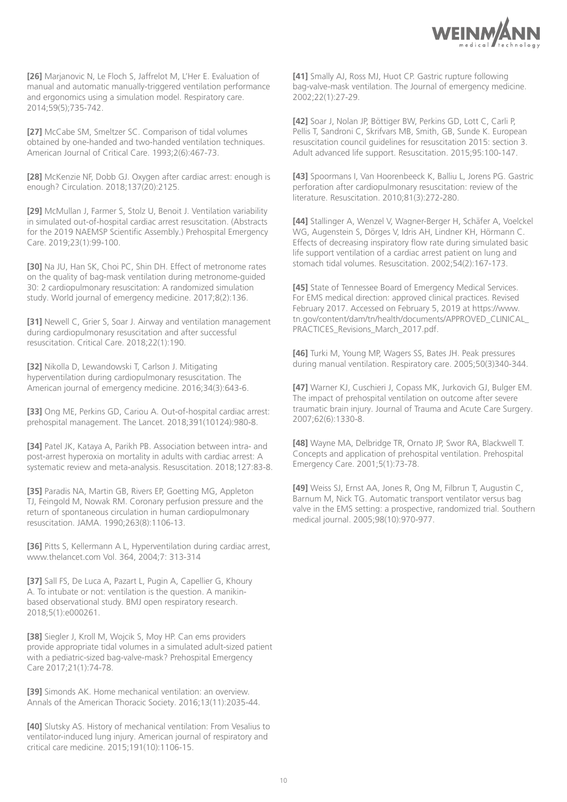

**[26]** Marjanovic N, Le Floch S, Jaffrelot M, L'Her E. Evaluation of manual and automatic manually-triggered ventilation performance and ergonomics using a simulation model. Respiratory care. 2014;59(5);735-742.

**[27]** McCabe SM, Smeltzer SC. Comparison of tidal volumes obtained by one-handed and two-handed ventilation techniques. American Journal of Critical Care. 1993;2(6):467-73.

**[28]** McKenzie NF, Dobb GJ. Oxygen after cardiac arrest: enough is enough? Circulation. 2018;137(20):2125.

**[29]** McMullan J, Farmer S, Stolz U, Benoit J. Ventilation variability in simulated out-of-hospital cardiac arrest resuscitation. (Abstracts for the 2019 NAEMSP Scientific Assembly.) Prehospital Emergency Care. 2019;23(1):99-100.

**[30]** Na JU, Han SK, Choi PC, Shin DH. Effect of metronome rates on the quality of bag-mask ventilation during metronome-guided 30: 2 cardiopulmonary resuscitation: A randomized simulation study. World journal of emergency medicine. 2017;8(2):136.

**[31]** Newell C, Grier S, Soar J. Airway and ventilation management during cardiopulmonary resuscitation and after successful resuscitation. Critical Care. 2018;22(1):190.

**[32]** Nikolla D, Lewandowski T, Carlson J. Mitigating hyperventilation during cardiopulmonary resuscitation. The American journal of emergency medicine. 2016;34(3):643-6.

**[33]** Ong ME, Perkins GD, Cariou A. Out-of-hospital cardiac arrest: prehospital management. The Lancet. 2018;391(10124):980-8.

**[34]** Patel JK, Kataya A, Parikh PB. Association between intra- and post-arrest hyperoxia on mortality in adults with cardiac arrest: A systematic review and meta-analysis. Resuscitation. 2018;127:83-8.

**[35]** Paradis NA, Martin GB, Rivers EP, Goetting MG, Appleton TJ, Feingold M, Nowak RM. Coronary perfusion pressure and the return of spontaneous circulation in human cardiopulmonary resuscitation. JAMA. 1990;263(8):1106-13.

**[36]** Pitts S, Kellermann A L, Hyperventilation during cardiac arrest, www.thelancet.com Vol. 364, 2004;7: 313-314

**[37]** Sall FS, De Luca A, Pazart L, Pugin A, Capellier G, Khoury A. To intubate or not: ventilation is the question. A manikinbased observational study. BMJ open respiratory research. 2018;5(1):e000261.

**[38]** Siegler J, Kroll M, Wojcik S, Moy HP. Can ems providers provide appropriate tidal volumes in a simulated adult-sized patient with a pediatric-sized bag-valve-mask? Prehospital Emergency Care 2017;21(1):74-78.

**[39]** Simonds AK. Home mechanical ventilation: an overview. Annals of the American Thoracic Society. 2016;13(11):2035-44.

**[40]** Slutsky AS. History of mechanical ventilation: From Vesalius to ventilator-induced lung injury. American journal of respiratory and critical care medicine. 2015;191(10):1106-15.

**[41]** Smally AJ, Ross MJ, Huot CP. Gastric rupture following bag-valve-mask ventilation. The Journal of emergency medicine. 2002;22(1):27-29.

**[42]** Soar J, Nolan JP, Böttiger BW, Perkins GD, Lott C, Carli P, Pellis T, Sandroni C, Skrifvars MB, Smith, GB, Sunde K. European resuscitation council guidelines for resuscitation 2015: section 3. Adult advanced life support. Resuscitation. 2015;95:100-147.

**[43]** Spoormans I, Van Hoorenbeeck K, Balliu L, Jorens PG. Gastric perforation after cardiopulmonary resuscitation: review of the literature. Resuscitation. 2010;81(3):272-280.

**[44]** Stallinger A, Wenzel V, Wagner-Berger H, Schäfer A, Voelckel WG, Augenstein S, Dörges V, Idris AH, Lindner KH, Hörmann C. Effects of decreasing inspiratory flow rate during simulated basic life support ventilation of a cardiac arrest patient on lung and stomach tidal volumes. Resuscitation. 2002;54(2):167-173.

[45] State of Tennessee Board of Emergency Medical Services. For EMS medical direction: approved clinical practices. Revised February 2017. Accessed on February 5, 2019 at https://www. tn.gov/content/dam/tn/health/documents/APPROVED\_CLINICAL\_ PRACTICES Revisions March 2017.pdf.

**[46]** Turki M, Young MP, Wagers SS, Bates JH. Peak pressures during manual ventilation. Respiratory care. 2005;50(3)340-344.

**[47]** Warner KJ, Cuschieri J, Copass MK, Jurkovich GJ, Bulger EM. The impact of prehospital ventilation on outcome after severe traumatic brain injury. Journal of Trauma and Acute Care Surgery. 2007;62(6):1330-8.

**[48]** Wayne MA, Delbridge TR, Ornato JP, Swor RA, Blackwell T. Concepts and application of prehospital ventilation. Prehospital Emergency Care. 2001;5(1):73-78.

**[49]** Weiss SJ, Ernst AA, Jones R, Ong M, Filbrun T, Augustin C, Barnum M, Nick TG. Automatic transport ventilator versus bag valve in the EMS setting: a prospective, randomized trial. Southern medical journal. 2005;98(10):970-977.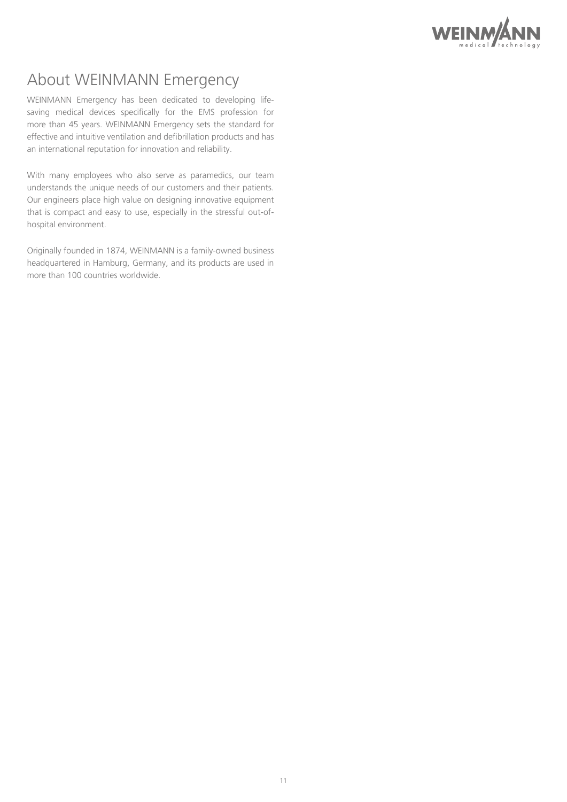

# About WEINMANN Emergency

WEINMANN Emergency has been dedicated to developing lifesaving medical devices specifically for the EMS profession for more than 45 years. WEINMANN Emergency sets the standard for effective and intuitive ventilation and defibrillation products and has an international reputation for innovation and reliability.

With many employees who also serve as paramedics, our team understands the unique needs of our customers and their patients. Our engineers place high value on designing innovative equipment that is compact and easy to use, especially in the stressful out-ofhospital environment.

Originally founded in 1874, WEINMANN is a family-owned business headquartered in Hamburg, Germany, and its products are used in more than 100 countries worldwide.